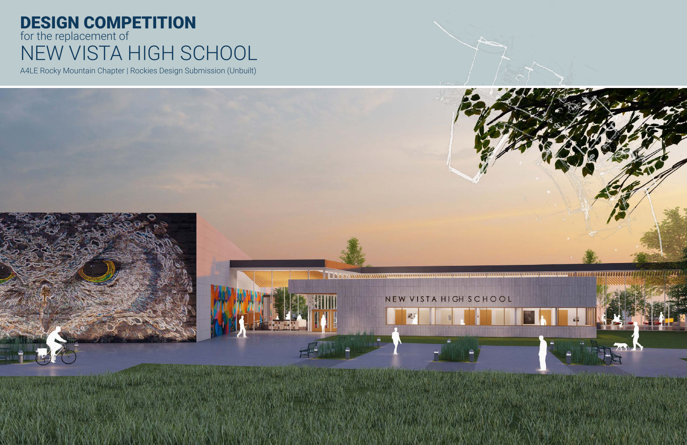# DESIGN COMPETITION for the replacement of